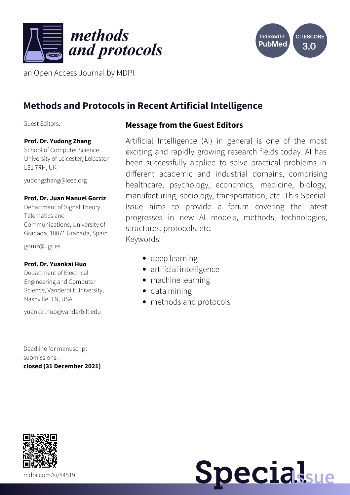



an Open Access Journal by MDPI

# **Methods and Protocols in Recent Artificial Intelligence**

Guest Editors:

# **Prof. Dr. Yudong Zhang**

School of Computer Science, University of Leicester, Leicester LE1 7RH, UK

[yudongzhang@ieee.org](mailto:yudongzhang@ieee.org)

#### **Prof. Dr. Juan Manuel Gorriz**

Department of Signal Theory, Telematics and Communications, University of Granada, 18071 Granada, Spain

[gorriz@ugr.es](mailto:gorriz@ugr.es)

#### **Prof. Dr. Yuankai Huo**

Department of Electrical Engineering and Computer Science, Vanderbilt University, Nashville, TN, USA

[yuankai.huo@vanderbilt.edu](mailto:yuankai.huo@vanderbilt.edu)

Deadline for manuscript submissions: **closed (31 December 2021)**

### **Message from the Guest Editors**

Artificial Intelligence (AI) in general is one of the most exciting and rapidly growing research fields today. AI has been successfully applied to solve practical problems in different academic and industrial domains, comprising healthcare, psychology, economics, medicine, biology, manufacturing, sociology, transportation, etc. This Special Issue aims to provide a forum covering the latest progresses in new AI models, methods, technologies, structures, protocols, etc. Keywords:

- deep learning
- artificial intelligence
- machine learning
- data mining
- methods and protocols



**Specialsue**